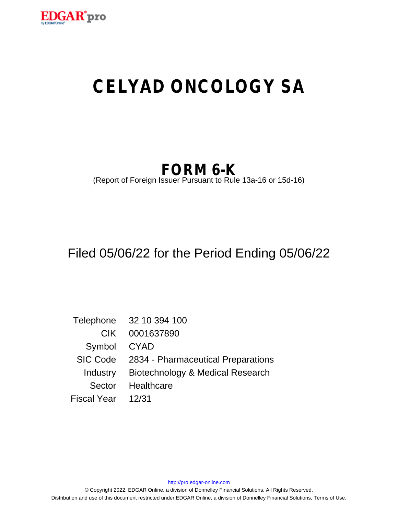

# **CELYAD ONCOLOGY SA**

## **FORM 6-K**

(Report of Foreign Issuer Pursuant to Rule 13a-16 or 15d-16)

### Filed 05/06/22 for the Period Ending 05/06/22

Telephone 32 10 394 100 CIK 0001637890 Symbol CYAD SIC Code 2834 - Pharmaceutical Preparations Industry Biotechnology & Medical Research Sector Healthcare Fiscal Year 12/31

http://pro.edgar-online.com

© Copyright 2022, EDGAR Online, a division of Donnelley Financial Solutions. All Rights Reserved.

Distribution and use of this document restricted under EDGAR Online, a division of Donnelley Financial Solutions, Terms of Use.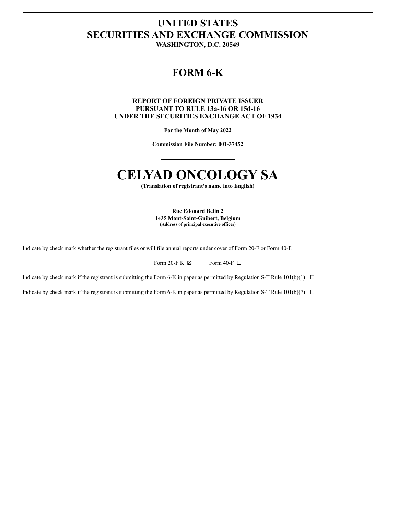### **UNITED STATES SECURITIES AND EXCHANGE COMMISSION**

WASHINGTON, D.C. 20549

### **FORM 6-K**

**REPORT OF FOREIGN PRIVATE ISSUER** PURSUANT TO RULE 13a-16 OR 15d-16 **UNDER THE SECURITIES EXCHANGE ACT OF 1934** 

For the Month of May 2022

**Commission File Number: 001-37452** 

### **CELYAD ONCOLOGY SA**

(Translation of registrant's name into English)

**Rue Edouard Belin 2** 1435 Mont-Saint-Guibert, Belgium (Address of principal executive offices)

Indicate by check mark whether the registrant files or will file annual reports under cover of Form 20-F or Form 40-F.

| Form 20-F K $\boxtimes$ | Form 40-F $\Box$ |  |
|-------------------------|------------------|--|
|                         |                  |  |

Indicate by check mark if the registrant is submitting the Form 6-K in paper as permitted by Regulation S-T Rule 101(b)(1):  $\Box$ 

Indicate by check mark if the registrant is submitting the Form 6-K in paper as permitted by Regulation S-T Rule 101(b)(7):  $\Box$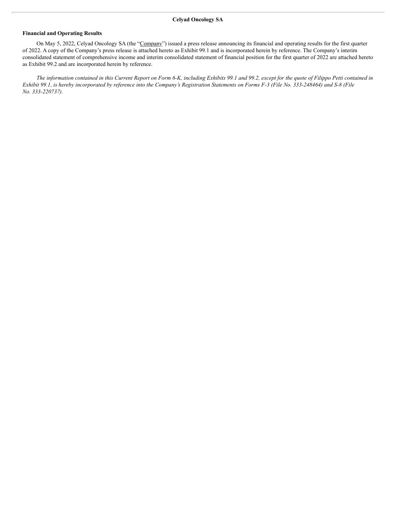#### **Financial and Operating Results**

On May 5, 2022, Celyad Oncology SA (the "Company") issued a press release announcing its financial and operating results for the first quarter of 2022. A copy of the Company's press release is attached hereto as Exhibit 99.1 and is incorporated herein by reference. The Company's interim consolidated statement of comprehensive income and interim consolidated statement of financial position for the first quarter of 2022 are attached hereto as Exhibit 99.2 and are incorporated herein by reference.

The information contained in this Current Report on Form 6-K, including Exhibits 99.1 and 99.2, except for the quote of Filippo Petti contained in Exhibit 99.1, is hereby incorporated by reference into the Company's Registration Statements on Forms F-3 (File No. 333-248464) and S-8 (File *No. 333-220737).*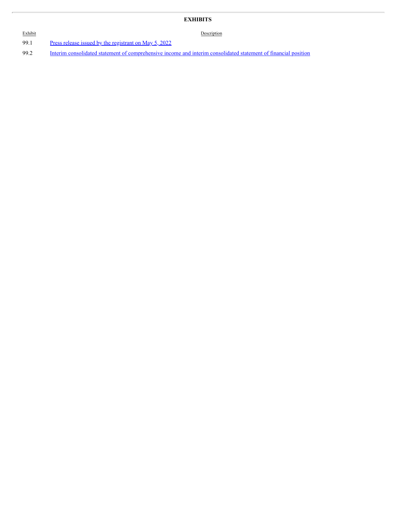#### **EXHIBITS**

99.1 Press release issued by the [registrant](#page-5-0) on May 5, 2022

99.2 Interim consolidated statement of [comprehensive](#page-7-0) income and interim consolidated statement of financial position

### Exhibit Description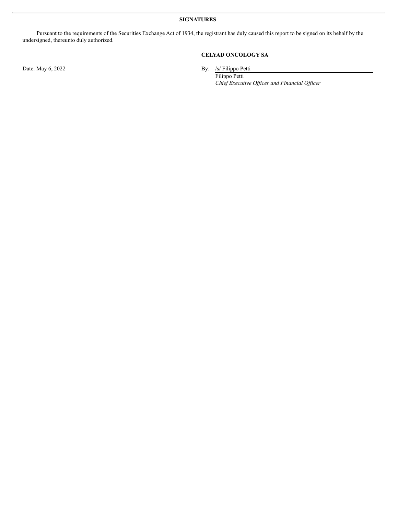#### **SIGNATURES**

Pursuant to the requirements of the Securities Exchange Act of 1934, the registrant has duly caused this report to be signed on its behalf by the undersigned, thereunto duly authorized.

#### **CELYAD ONCOLOGY SA**

Date: May 6, 2022 By: /s/ Filippo Petti

Filippo Petti *Chief Executive Of icer and Financial Of icer*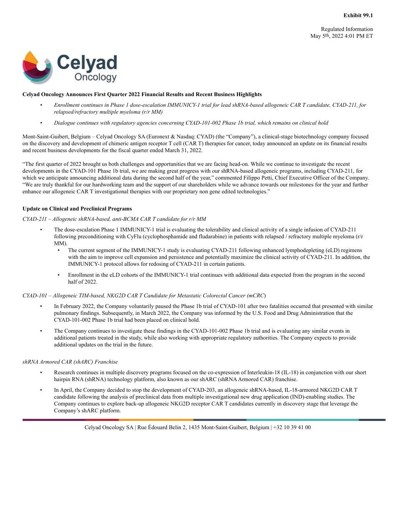<span id="page-5-0"></span>

#### **Celyad Oncology Announces First Quarter 2022 Financial Results and Recent Business Highlights**

- Enrollment continues in Phase 1 dose-escalation IMMUNICY-1 trial for lead shRNA-based allogeneic CAR T candidate, CYAD-211, for *relapsed/refractory multiple myeloma (r/r MM)*
- Dialogue continues with regulatory agencies concerning CYAD-101-002 Phase 1b trial, which remains on clinical hold

Mont-Saint-Guibert, Belgium – Celyad Oncology SA (Euronext & Nasdaq: CYAD) (the "Company"), a clinical-stage biotechnology company focused on the discovery and development of chimeric antigen receptor T cell (CAR T) therapies for cancer, today announced an update on its financial results and recent business developments for the fiscal quarter ended March 31, 2022.

"The first quarter of 2022 brought us both challenges and opportunities that we are facing head-on. While we continue to investigate the recent developments in the CYAD-101 Phase 1b trial, we are making great progress with our shRNA-based allogeneic programs, including CYAD-211, for which we anticipate announcing additional data during the second half of the year," commented Filippo Petti, Chief Executive Officer of the Company. "We are truly thankful for our hardworking team and the support of our shareholders while we advance towards our milestones for the year and further enhance our allogeneic CAR T investigational therapies with our proprietary non gene edited technologies."

#### **Update on Clinical and Preclinical Programs**

*CYAD-211 – Allogeneic shRNA-based, anti-BCMA CAR T candidate for r/r MM*

- The dose-escalation Phase 1 IMMUNICY-1 trial is evaluating the tolerability and clinical activity of a single infusion of CYAD-211 following preconditioning with CyFlu (cyclophosphamide and fludarabine) in patients with relapsed / refractory multiple myeloma (r/r MM).
	- The current segment of the IMMUNICY-1 study is evaluating CYAD-211 following enhanced lymphodepleting (eLD) regimens with the aim to improve cell expansion and persistence and potentially maximize the clinical activity of CYAD-211. In addition, the IMMUNICY-1 protocol allows for redosing of CYAD-211 in certain patients.
	- Enrollment in the eLD cohorts of the IMMUNICY-1 trial continues with additional data expected from the program in the second half of 2022.

*CYAD-101 – Allogeneic TIM-based, NKG2D CAR T Candidate for Metastatic Colorectal Cancer (mCRC*)

- In February 2022, the Company voluntarily paused the Phase 1b trial of CYAD-101 after two fatalities occurred that presented with similar pulmonary findings. Subsequently, in March 2022, the Company was informed by the U.S. Food and Drug Administration that the CYAD-101-002 Phase 1b trial had been placed on clinical hold.
- The Company continues to investigate these findings in the CYAD-101-002 Phase 1b trial and is evaluating any similar events in additional patients treated in the study, while also working with appropriate regulatory authorities. The Company expects to provide additional updates on the trial in the future.

#### *shRNA Armored CAR (shARC) Franchise*

- Research continues in multiple discovery programs focused on the co-expression of Interleukin-18 (IL-18) in conjunction with our short hairpin RNA (shRNA) technology platform, also known as our shARC (shRNA Armored CAR) franchise.
- In April, the Company decided to stop the development of CYAD-203, an allogeneic shRNA-based, IL-18-armored NKG2D CAR T candidate following the analysis of preclinical data from multiple investigational new drug application (IND)-enabling studies. The Company continues to explore back-up allogeneic NKG2D receptor CAR T candidates currently in discovery stage that leverage the Company's shARC platform.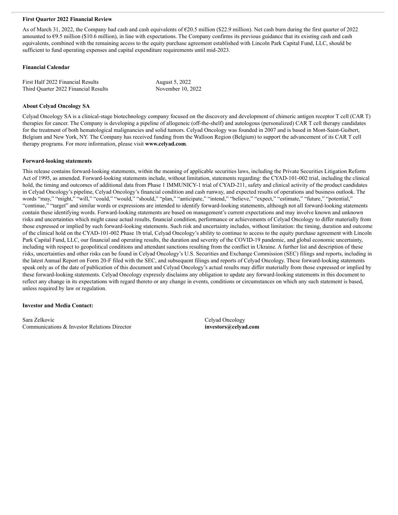#### **First Quarter 2022 Financial Review**

As of March 31, 2022, the Company had cash and cash equivalents of €20.5 million (\$22.9 million). Net cash burn during the first quarter of 2022 amounted to  $\epsilon$ 9.5 million (\$10.6 million), in line with expectations. The Company confirms its previous guidance that its existing cash and cash equivalents, combined with the remaining access to the equity purchase agreement established with Lincoln Park Capital Fund, LLC, should be sufficient to fund operating expenses and capital expenditure requirements until mid-2023.

#### **Financial Calendar**

| First Half 2022 Financial Results    | August 5, 2022    |
|--------------------------------------|-------------------|
| Third Quarter 2022 Financial Results | November 10, 2022 |

#### **About Celyad Oncology SA**

Celyad Oncology SA is a clinical-stage biotechnology company focused on the discovery and development of chimeric antigen receptor T cell (CAR T) therapies for cancer. The Company is developing a pipeline of allogeneic (off-the-shelf) and autologous (personalized) CAR T cell therapy candidates for the treatment of both hematological malignancies and solid tumors. Celyad Oncology was founded in 2007 and is based in Mont-Saint-Guibert, Belgium and New York, NY. The Company has received funding from the Walloon Region (Belgium) to support the advancement of its CAR T cell therapy programs. For more information, please visit **www.celyad.com**.

#### **Forward-looking statements**

This release contains forward-looking statements, within the meaning of applicable securities laws, including the Private Securities Litigation Reform Act of 1995, as amended. Forward-looking statements include, without limitation, statements regarding: the CYAD-101-002 trial, including the clinical hold, the timing and outcomes of additional data from Phase 1 IMMUNICY-1 trial of CYAD-211, safety and clinical activity of the product candidates in Celyad Oncology's pipeline, Celyad Oncology's financial condition and cash runway, and expected results of operations and business outlook. The words "may," "might," "will," "could," "would," "should," "plan," "anticipate," "intend," "believe," "expect," "estimate," "future," "potential," "continue," "target" and similar words or expressions are intended to identify forward-looking statements, although not all forward-looking statements contain these identifying words. Forward-looking statements are based on management's current expectations and may involve known and unknown risks and uncertainties which might cause actual results, financial condition, performance or achievements of Celyad Oncology to differ materially from those expressed or implied by such forward-looking statements. Such risk and uncertainty includes, without limitation: the timing, duration and outcome of the clinical hold on the CYAD-101-002 Phase 1b trial, Celyad Oncology's ability to continue to access to the equity purchase agreement with Lincoln Park Capital Fund, LLC, our financial and operating results, the duration and severity of the COVID-19 pandemic, and global economic uncertainty, including with respect to geopolitical conditions and attendant sanctions resulting from the conflict in Ukraine. A further list and description of these risks, uncertainties and other risks can be found in Celyad Oncology's U.S. Securities and Exchange Commission (SEC) filings and reports, including in the latest Annual Report on Form 20-F filed with the SEC, and subsequent filings and reports of Celyad Oncology. These forward-looking statements speak only as of the date of publication of this document and Celyad Oncology's actual results may differ materially from those expressed or implied by these forward-looking statements. Celyad Oncology expressly disclaims any obligation to update any forward-looking statements in this document to reflect any change in its expectations with regard thereto or any change in events, conditions or circumstances on which any such statement is based, unless required by law or regulation.

#### **Investor and Media Contact:**

Sara Zelkovic Celyad Oncology Communications & Investor Relations Director **investors@celyad.com**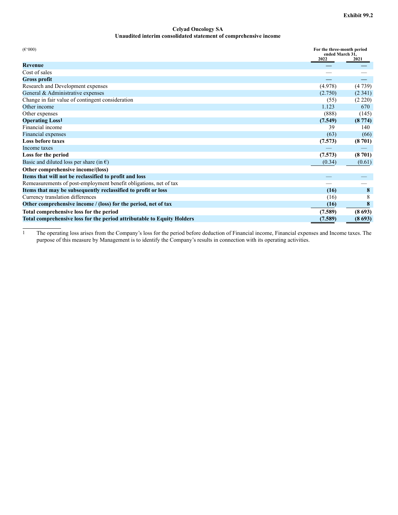#### **Celyad Oncology SA Unaudited interim consolidated statement of comprehensive income**

<span id="page-7-0"></span>

| (E.000)                                                                | For the three-month period<br>ended March 31, |         |
|------------------------------------------------------------------------|-----------------------------------------------|---------|
| Revenue                                                                | 2022                                          | 2021    |
|                                                                        |                                               |         |
| Cost of sales                                                          |                                               |         |
| <b>Gross profit</b>                                                    |                                               |         |
| Research and Development expenses                                      | (4.978)                                       | (4739)  |
| General & Administrative expenses                                      | (2.750)                                       | (2341)  |
| Change in fair value of contingent consideration                       | (55)                                          | (2 220) |
| Other income                                                           | 1.123                                         | 670     |
| Other expenses                                                         | (888)                                         | (145)   |
| <b>Operating Loss1</b>                                                 | (7.549)                                       | (8774)  |
| Financial income                                                       | 39                                            | 140     |
| Financial expenses                                                     | (63)                                          | (66)    |
| <b>Loss before taxes</b>                                               | (7.573)                                       | (8701)  |
| Income taxes                                                           |                                               |         |
| Loss for the period                                                    | (7.573)                                       | (8701)  |
| Basic and diluted loss per share (in $\epsilon$ )                      | (0.34)                                        | (0.61)  |
| Other comprehensive income/(loss)                                      |                                               |         |
| Items that will not be reclassified to profit and loss                 |                                               |         |
| Remeasurements of post-employment benefit obligations, net of tax      |                                               |         |
| Items that may be subsequently reclassified to profit or loss          | (16)                                          | 8       |
| Currency translation differences                                       | (16)                                          | 8       |
| Other comprehensive income / (loss) for the period, net of tax         | (16)                                          | 8       |
| Total comprehensive loss for the period                                | (7.589)                                       | (8693)  |
| Total comprehensive loss for the period attributable to Equity Holders | (7.589)                                       | (8693)  |

<sup>1</sup> The operating loss arises from the Company's loss for the period before deduction of Financial income, Financial expenses and Income taxes. The purpose of this measure by Management is to identify the Company's results in connection with its operating activities.